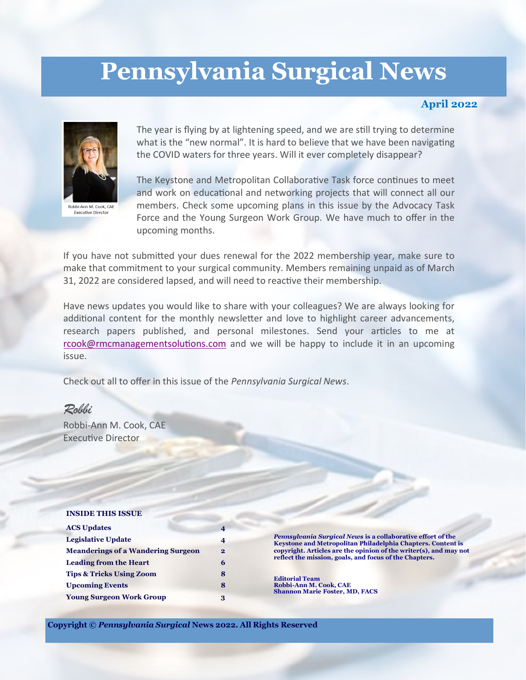# **Pennsylvania Surgical News**

## **April 2022**



**Executive Director** 

The year is flying by at lightening speed, and we are still trying to determine what is the "new normal". It is hard to believe that we have been navigating the COVID waters for three years. Will it ever completely disappear?

The Keystone and Metropolitan Collaborative Task force continues to meet and work on educational and networking projects that will connect all our members. Check some upcoming plans in this issue by the Advocacy Task Force and the Young Surgeon Work Group. We have much to offer in the upcoming months.

If you have not submitted your dues renewal for the 2022 membership year, make sure to make that commitment to your surgical community. Members remaining unpaid as of March 31, 2022 are considered lapsed, and will need to reactive their membership.

Have news updates you would like to share with your colleagues? We are always looking for additional content for the monthly newsletter and love to highlight career advancements, research papers published, and personal milestones. Send your articles to me at [rcook@rmcmanagementsolutions.com](mailto:rcook@rmcmanagementsolutions.com) and we will be happy to include it in an upcoming issue.

Check out all to offer in this issue of the *Pennsylvania Surgical News*.

## *Robbi*

Robbi-Ann M. Cook, CAE Executive Director

#### **INSIDE THIS ISSUE**

| <b>ACS Updates</b>                        |              |
|-------------------------------------------|--------------|
| <b>Legislative Update</b>                 | 4            |
| <b>Meanderings of a Wandering Surgeon</b> | $\mathbf{2}$ |
| <b>Leading from the Heart</b>             | 6            |
| <b>Tips &amp; Tricks Using Zoom</b>       | 8            |
| <b>Upcoming Events</b>                    | 8            |
| <b>Young Surgeon Work Group</b>           | 3            |

*Pennsylvania Surgical News* **is a collaborative effort of the Keystone and Metropolitan Philadelphia Chapters. Content is copyright. Articles are the opinion of the writer(s), and may not reflect the mission, goals, and focus of the Chapters.** 

**Editorial Team Robbi-Ann M. Cook, CAE Shannon Marie Foster, MD, FACS**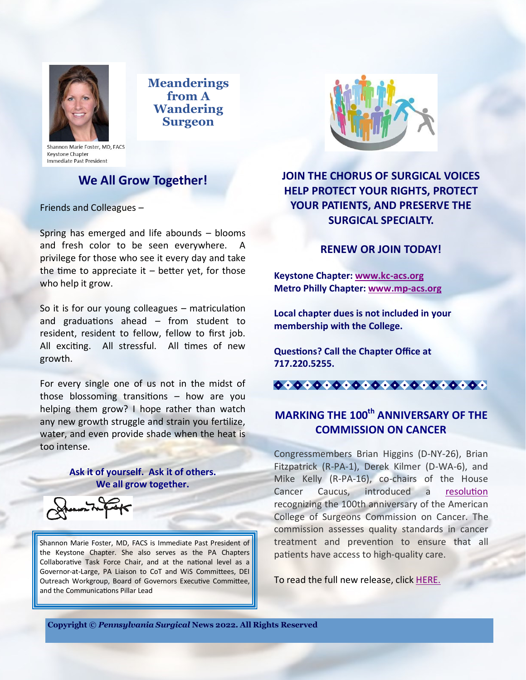

**Meanderings from A Wandering Surgeon**

Shannon Marie Foster, MD, FACS Keystone Chapter Immediate Past President

# **We All Grow Together!**

Friends and Colleagues –

Spring has emerged and life abounds – blooms and fresh color to be seen everywhere. A privilege for those who see it every day and take the time to appreciate it  $-$  better yet, for those who help it grow.

So it is for our young colleagues – matriculation and graduations ahead – from student to resident, resident to fellow, fellow to first job. All exciting. All stressful. All times of new growth.

For every single one of us not in the midst of those blossoming transitions – how are you helping them grow? I hope rather than watch any new growth struggle and strain you fertilize, water, and even provide shade when the heat is too intense.

## **Ask it of yourself. Ask it of others. We all grow together.**

Shannon Marie Foster, MD, FACS is Immediate Past President of the Keystone Chapter. She also serves as the PA Chapters Collaborative Task Force Chair, and at the national level as a Governor-at-Large, PA Liaison to CoT and WiS Committees, DEI Outreach Workgroup, Board of Governors Executive Committee, and the Communications Pillar Lead



**JOIN THE CHORUS OF SURGICAL VOICES HELP PROTECT YOUR RIGHTS, PROTECT YOUR PATIENTS, AND PRESERVE THE SURGICAL SPECIALTY.**

## **RENEW OR JOIN TODAY!**

**Keystone Chapter: [www.kc](http://www.kc-acs.org)-acs.org Metro Philly Chapter: [www.mp](http://www.mp-acs.org)-acs.org**

**Local chapter dues is not included in your membership with the College.**

**Questions? Call the Chapter Office at 717.220.5255.**



# **MARKING THE 100th ANNIVERSARY OF THE COMMISSION ON CANCER**

Congressmembers Brian Higgins (D-NY-26), Brian Fitzpatrick (R-PA-1), Derek Kilmer (D-WA-6), and Mike Kelly (R-PA-16), co-chairs of the House Cancer Caucus, introduced a [resolution](https://www.congress.gov/117/bills/hres997/BILLS-117hres997ih.pdf) recognizing the 100th anniversary of the American College of Surgeons Commission on Cancer. The commission assesses quality standards in cancer treatment and prevention to ensure that all patients have access to high-quality care.

To read the full new release, click [HERE.](https://higgins.house.gov/media-center/press-releases/marking-the-100th-anniversary-of-the-commission-on-cancer)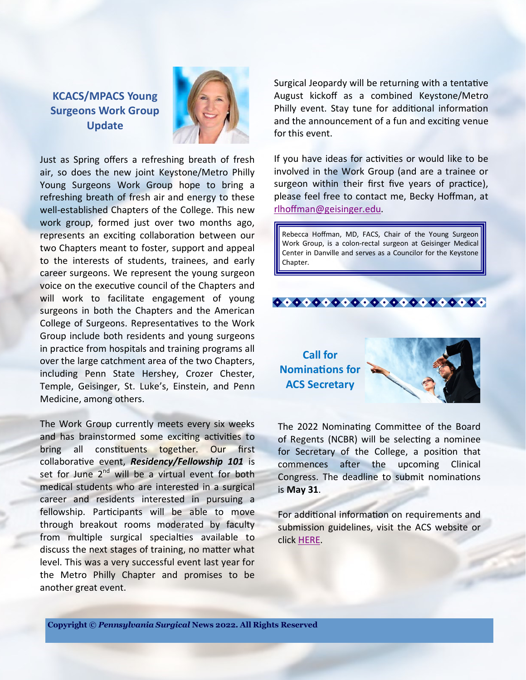**KCACS/MPACS Young Surgeons Work Group Update**



Just as Spring offers a refreshing breath of fresh air, so does the new joint Keystone/Metro Philly Young Surgeons Work Group hope to bring a refreshing breath of fresh air and energy to these well-established Chapters of the College. This new work group, formed just over two months ago, represents an exciting collaboration between our two Chapters meant to foster, support and appeal to the interests of students, trainees, and early career surgeons. We represent the young surgeon voice on the executive council of the Chapters and will work to facilitate engagement of young surgeons in both the Chapters and the American College of Surgeons. Representatives to the Work Group include both residents and young surgeons in practice from hospitals and training programs all over the large catchment area of the two Chapters, including Penn State Hershey, Crozer Chester, Temple, Geisinger, St. Luke's, Einstein, and Penn Medicine, among others.

The Work Group currently meets every six weeks and has brainstormed some exciting activities to bring all constituents together. Our first collaborative event, *Residency/Fellowship 101* is set for June 2<sup>nd</sup> will be a virtual event for both medical students who are interested in a surgical career and residents interested in pursuing a fellowship. Participants will be able to move through breakout rooms moderated by faculty from multiple surgical specialties available to discuss the next stages of training, no matter what level. This was a very successful event last year for the Metro Philly Chapter and promises to be another great event.

Surgical Jeopardy will be returning with a tentative August kickoff as a combined Keystone/Metro Philly event. Stay tune for additional information and the announcement of a fun and exciting venue for this event.

If you have ideas for activities or would like to be involved in the Work Group (and are a trainee or surgeon within their first five years of practice), please feel free to contact me, Becky Hoffman, at [rlhoffman@geisinger.edu.](mailto:rlhoffman@geisinger.edu) 

Rebecca Hoffman, MD, FACS, Chair of the Young Surgeon Work Group, is a colon-rectal surgeon at Geisinger Medical Center in Danville and serves as a Councilor for the Keystone Chapter.



**Call for Nominations for ACS Secretary**



The 2022 Nominating Committee of the Board of Regents (NCBR) will be selecting a nominee for Secretary of the College, a position that commences after the upcoming Clinical Congress. The deadline to submit nominations is **May 31**.

For additional information on requirements and submission guidelines, visit the ACS website or click [HERE.](https://www.facs.org/publications/bulletin-brief/022222/announcements#secretary)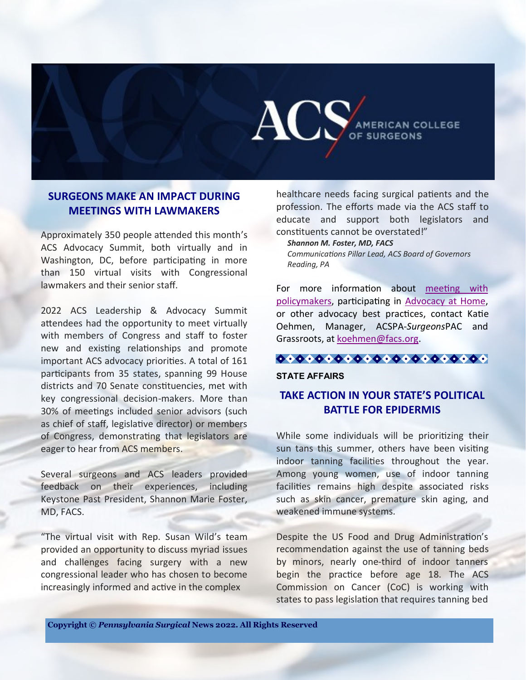

## **SURGEONS MAKE AN IMPACT DURING MEETINGS WITH LAWMAKERS**

Approximately 350 people attended this month's ACS Advocacy Summit, both virtually and in Washington, DC, before participating in more than 150 virtual visits with Congressional lawmakers and their senior staff.

2022 ACS Leadership & Advocacy Summit attendees had the opportunity to meet virtually with members of Congress and staff to foster new and existing relationships and promote important ACS advocacy priorities. A total of 161 participants from 35 states, spanning 99 House districts and 70 Senate constituencies, met with key congressional decision-makers. More than 30% of meetings included senior advisors (such as chief of staff, legislative director) or members of Congress, demonstrating that legislators are eager to hear from ACS members.

Several surgeons and ACS leaders provided feedback on their experiences, including Keystone Past President, Shannon Marie Foster, MD, FACS.

"The virtual visit with Rep. Susan Wild's team provided an opportunity to discuss myriad issues and challenges facing surgery with a new congressional leader who has chosen to become increasingly informed and active in the complex

healthcare needs facing surgical patients and the profession. The efforts made via the ACS staff to educate and support both legislators and constituents cannot be overstated!"

*Shannon M. Foster, MD, FACS*

*Communications Pillar Lead, ACS Board of Governors Reading, PA*

For more information about [meeting with](https://facs.quorum.us/campaign/27986/)  [policymakers,](https://facs.quorum.us/campaign/27986/) participating in [Advocacy at Home,](https://www.facs.org/advocacy/surgeonsvoice/at-home)  or other advocacy best practices, contact Katie Oehmen, Manager, ACSPA-*Surgeons*PAC and Grassroots, at [koehmen@facs.org.](mailto:koehmen@facs.org) 

#### **STATE AFFAIRS**

# **TAKE ACTION IN YOUR STATE'S POLITICAL BATTLE FOR EPIDERMIS**

While some individuals will be prioritizing their sun tans this summer, others have been visiting indoor tanning facilities throughout the year. Among young women, use of indoor tanning facilities remains high despite associated risks such as skin cancer, premature skin aging, and weakened immune systems.

Despite the US Food and Drug Administration's recommendation against the use of tanning beds by minors, nearly one-third of indoor tanners begin the practice before age 18. The ACS Commission on Cancer (CoC) is working with states to pass legislation that requires tanning bed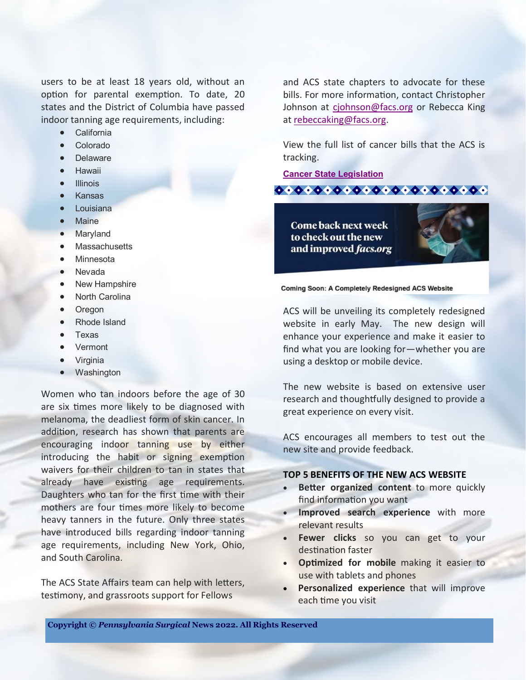users to be at least 18 years old, without an option for parental exemption. To date, 20 states and the District of Columbia have passed indoor tanning age requirements, including:

- California
- Colorado
- Delaware
- Hawaii
- **Illinois**
- Kansas
- Louisiana
- Maine
- Maryland
- **Massachusetts**
- Minnesota
- Nevada
- **New Hampshire**
- **North Carolina**
- Oregon
- Rhode Island
- Texas
- Vermont
- Virginia
- Washington

Women who tan indoors before the age of 30 are six times more likely to be diagnosed with melanoma, the deadliest form of skin cancer. In addition, research has shown that parents are encouraging indoor tanning use by either introducing the habit or signing exemption waivers for their children to tan in states that already have existing age requirements. Daughters who tan for the first time with their mothers are four times more likely to become heavy tanners in the future. Only three states have introduced bills regarding indoor tanning age requirements, including New York, Ohio, and South Carolina.

The ACS State Affairs team can help with letters, testimony, and grassroots support for Fellows

and ACS state chapters to advocate for these bills. For more information, contact Christopher Johnson at [cjohnson@facs.org](mailto:cjohnson@facs.org) or Rebecca King at [rebeccaking@facs.org.](mailto:rebeccaking@facs.org)

View the full list of cancer bills that the ACS is tracking.

 $000000000000000000000000$ 

**[Cancer State Legislation](https://www.quorum.us/spreadsheet/external/NcNUuepHEQyhLxWoxqIv/)**

Come back next week to check out the new and improved facs.org



Coming Soon: A Completely Redesigned ACS Website

ACS will be unveiling its completely redesigned website in early May. The new design will enhance your experience and make it easier to find what you are looking for—whether you are using a desktop or mobile device.

The new website is based on extensive user research and thoughtfully designed to provide a great experience on every visit.

ACS encourages all members to test out the new site and provide feedback.

#### **TOP 5 BENEFITS OF THE NEW ACS WEBSITE**

- **Better organized content** to more quickly find information you want
- **Improved search experience** with more relevant results
- **Fewer clicks** so you can get to your destination faster
- **Optimized for mobile** making it easier to use with tablets and phones
- **Personalized experience** that will improve each time you visit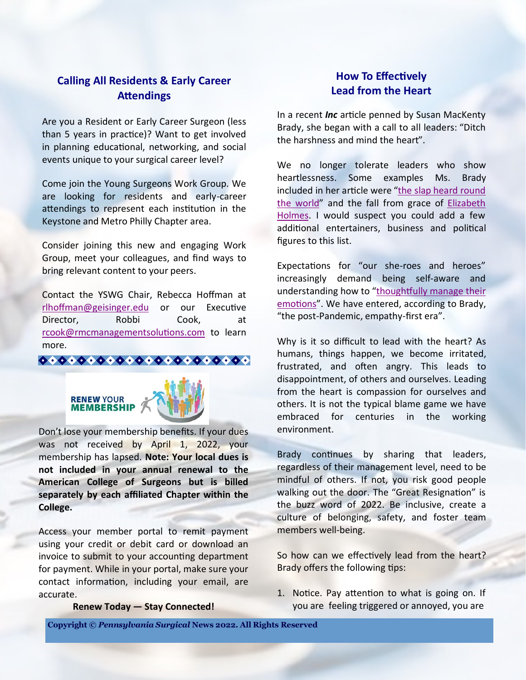## **Calling All Residents & Early Career Attendings**

Are you a Resident or Early Career Surgeon (less than 5 years in practice)? Want to get involved in planning educational, networking, and social events unique to your surgical career level?

Come join the Young Surgeons Work Group. We are looking for residents and early-career attendings to represent each institution in the Keystone and Metro Philly Chapter area.

Consider joining this new and engaging Work Group, meet your colleagues, and find ways to bring relevant content to your peers.

Contact the YSWG Chair, Rebecca Hoffman at [rlhoffman@geisinger.edu](mailto:rlhoffman@geisinger.edu) or our Executive Director, Robbi Cook, at [rcook@rmcmanagementsolutions.com](mailto:rcook@rmcmanagementsolutions.com) to learn more.





Don't lose your membership benefits. If your dues was not received by April 1, 2022, your membership has lapsed. **Note: Your local dues is not included in your annual renewal to the American College of Surgeons but is billed separately by each affiliated Chapter within the College.**

Access your member portal to remit payment using your credit or debit card or download an invoice to submit to your accounting department for payment. While in your portal, make sure your contact information, including your email, are accurate.

**Renew Today — Stay Connected!**

# **How To Effectively Lead from the Heart**

In a recent *Inc* article penned by Susan MacKenty Brady, she began with a call to all leaders: "Ditch the harshness and mind the heart".

We no longer tolerate leaders who show heartlessness. Some examples Ms. Brady included in her article were "[the slap heard round](https://www.inc.com/justin-bariso/emotional-intelligence-will-smith-apology-chris-rock-emotional-hijack-how-to-apologize.html)  [the world](https://www.inc.com/justin-bariso/emotional-intelligence-will-smith-apology-chris-rock-emotional-hijack-how-to-apologize.html)" and the fall from grace of [Elizabeth](https://www.inc.com/melissa-angell/the-dropout-hulu-elizabeth-holmes-theranos-startup.html)  [Holmes.](https://www.inc.com/melissa-angell/the-dropout-hulu-elizabeth-holmes-theranos-startup.html) I would suspect you could add a few additional entertainers, business and political figures to this list.

Expectations for "our she-roes and heroes" increasingly demand being self-aware and understanding how to "[thoughtfully manage their](https://www.inc.com/amy-morin/how-to-control-your-emotions-so-your-emotions-dont-control-you.html)  [emotions](https://www.inc.com/amy-morin/how-to-control-your-emotions-so-your-emotions-dont-control-you.html)". We have entered, according to Brady, "the post-Pandemic, empathy-first era".

Why is it so difficult to lead with the heart? As humans, things happen, we become irritated, frustrated, and often angry. This leads to disappointment, of others and ourselves. Leading from the heart is compassion for ourselves and others. It is not the typical blame game we have embraced for centuries in the working environment.

Brady continues by sharing that leaders, regardless of their management level, need to be mindful of others. If not, you risk good people walking out the door. The "Great Resignation" is the buzz word of 2022. Be inclusive, create a culture of belonging, safety, and foster team members well-being.

So how can we effectively lead from the heart? Brady offers the following tips:

1. Notice. Pay attention to what is going on. If you are feeling triggered or annoyed, you are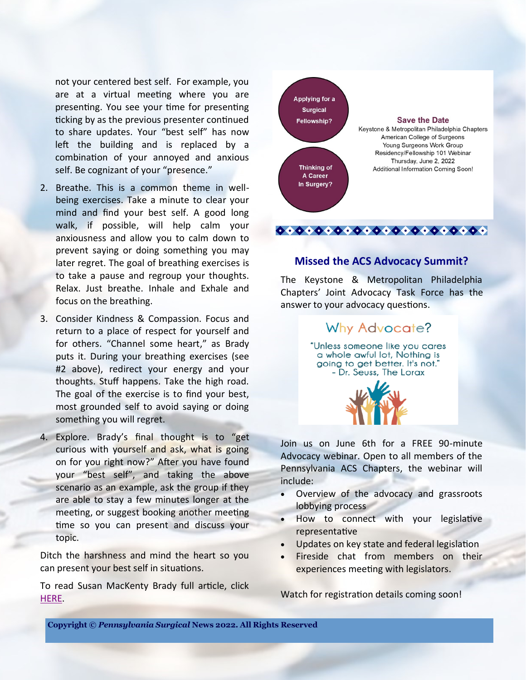not your centered best self. For example, you are at a virtual meeting where you are presenting. You see your time for presenting ticking by as the previous presenter continued to share updates. Your "best self" has now left the building and is replaced by a combination of your annoyed and anxious self. Be cognizant of your "presence."

- 2. Breathe. This is a common theme in wellbeing exercises. Take a minute to clear your mind and find your best self. A good long walk, if possible, will help calm your anxiousness and allow you to calm down to prevent saying or doing something you may later regret. The goal of breathing exercises is to take a pause and regroup your thoughts. Relax. Just breathe. Inhale and Exhale and focus on the breathing.
- 3. Consider Kindness & Compassion. Focus and return to a place of respect for yourself and for others. "Channel some heart," as Brady puts it. During your breathing exercises (see #2 above), redirect your energy and your thoughts. Stuff happens. Take the high road. The goal of the exercise is to find your best, most grounded self to avoid saying or doing something you will regret.
- 4. Explore. Brady's final thought is to "get curious with yourself and ask, what is going on for you right now?" After you have found your "best self", and taking the above scenario as an example, ask the group if they are able to stay a few minutes longer at the meeting, or suggest booking another meeting time so you can present and discuss your topic.

Ditch the harshness and mind the heart so you can present your best self in situations.

To read Susan MacKenty Brady full article, click [HERE.](https://www.msn.com/en-us/money/smallbusiness/how-to-effectively-lead-from-the-heart/ar-AAW7zBb)



### **Missed the ACS Advocacy Summit?**

The Keystone & Metropolitan Philadelphia Chapters' Joint Advocacy Task Force has the answer to your advocacy questions.

## Why Advocate?

"Unless someone like you cares a whole awful lot, Nothing is going to get better. It's not." - Dr. Seuss, The Lorax



Join us on June 6th for a FREE 90-minute Advocacy webinar. Open to all members of the Pennsylvania ACS Chapters, the webinar will include:

- Overview of the advocacy and grassroots lobbying process
- How to connect with your legislative representative
- Updates on key state and federal legislation
- Fireside chat from members on their experiences meeting with legislators.

Watch for registration details coming soon!